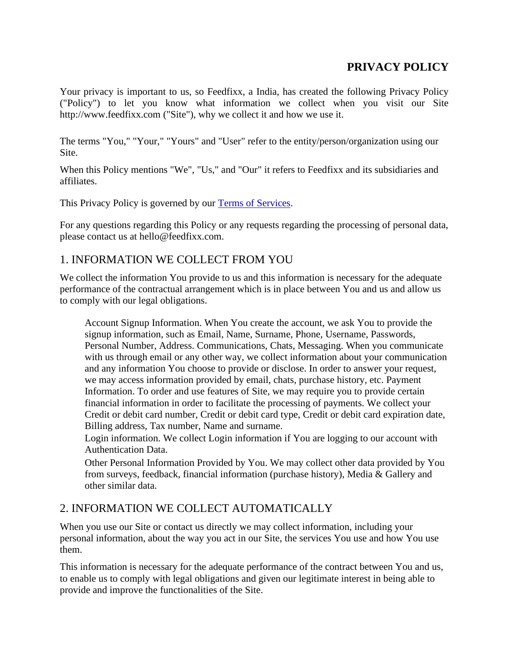## **PRIVACY POLICY**

Your privacy is important to us, so Feedfixx, a India, has created the following Privacy Policy ("Policy") to let you know what information we collect when you visit our Site http://www.feedfixx.com ("Site"), why we collect it and how we use it.

The terms "You," "Your," "Yours" and "User" refer to the entity/person/organization using our Site.

When this Policy mentions "We", "Us," and "Our" it refers to Feedfixx and its subsidiaries and affiliates.

This Privacy Policy is governed by our Terms of Services.

For any questions regarding this Policy or any requests regarding the processing of personal data, please contact us at hello@feedfixx.com.

### 1. INFORMATION WE COLLECT FROM YOU

We collect the information You provide to us and this information is necessary for the adequate performance of the contractual arrangement which is in place between You and us and allow us to comply with our legal obligations.

Account Signup Information. When You create the account, we ask You to provide the signup information, such as Email, Name, Surname, Phone, Username, Passwords, Personal Number, Address. Communications, Chats, Messaging. When you communicate with us through email or any other way, we collect information about your communication and any information You choose to provide or disclose. In order to answer your request, we may access information provided by email, chats, purchase history, etc. Payment Information. To order and use features of Site, we may require you to provide certain financial information in order to facilitate the processing of payments. We collect your Credit or debit card number, Credit or debit card type, Credit or debit card expiration date, Billing address, Tax number, Name and surname.

Login information. We collect Login information if You are logging to our account with Authentication Data.

Other Personal Information Provided by You. We may collect other data provided by You from surveys, feedback, financial information (purchase history), Media & Gallery and other similar data.

### 2. INFORMATION WE COLLECT AUTOMATICALLY

When you use our Site or contact us directly we may collect information, including your personal information, about the way you act in our Site, the services You use and how You use them.

This information is necessary for the adequate performance of the contract between You and us, to enable us to comply with legal obligations and given our legitimate interest in being able to provide and improve the functionalities of the Site.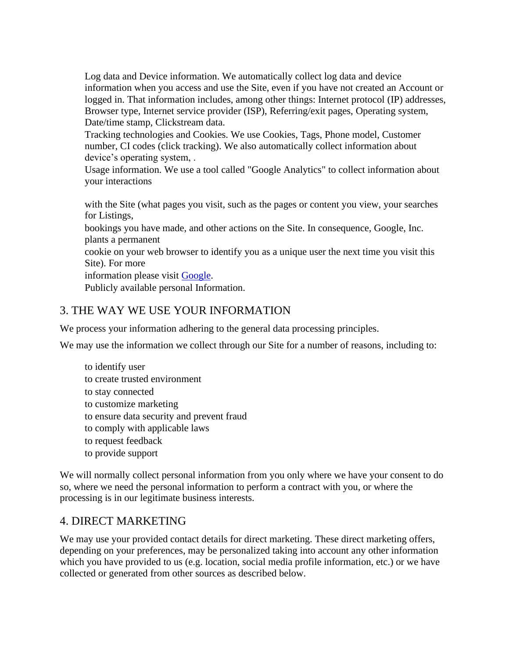Log data and Device information. We automatically collect log data and device information when you access and use the Site, even if you have not created an Account or logged in. That information includes, among other things: Internet protocol (IP) addresses, Browser type, Internet service provider (ISP), Referring/exit pages, Operating system, Date/time stamp, Clickstream data.

Tracking technologies and Cookies. We use Cookies, Tags, Phone model, Customer number, CI codes (click tracking). We also automatically collect information about device's operating system, .

Usage information. We use a tool called "Google Analytics" to collect information about your interactions

with the Site (what pages you visit, such as the pages or content you view, your searches for Listings,

bookings you have made, and other actions on the Site. In consequence, Google, Inc. plants a permanent

cookie on your web browser to identify you as a unique user the next time you visit this Site). For more

information please visit Google.

Publicly available personal Information.

#### 3. THE WAY WE USE YOUR INFORMATION

We process your information adhering to the general data processing principles.

We may use the information we collect through our Site for a number of reasons, including to:

to identify user to create trusted environment to stay connected to customize marketing to ensure data security and prevent fraud to comply with applicable laws to request feedback to provide support

We will normally collect personal information from you only where we have your consent to do so, where we need the personal information to perform a contract with you, or where the processing is in our legitimate business interests.

### 4. DIRECT MARKETING

We may use your provided contact details for direct marketing. These direct marketing offers, depending on your preferences, may be personalized taking into account any other information which you have provided to us (e.g. location, social media profile information, etc.) or we have collected or generated from other sources as described below.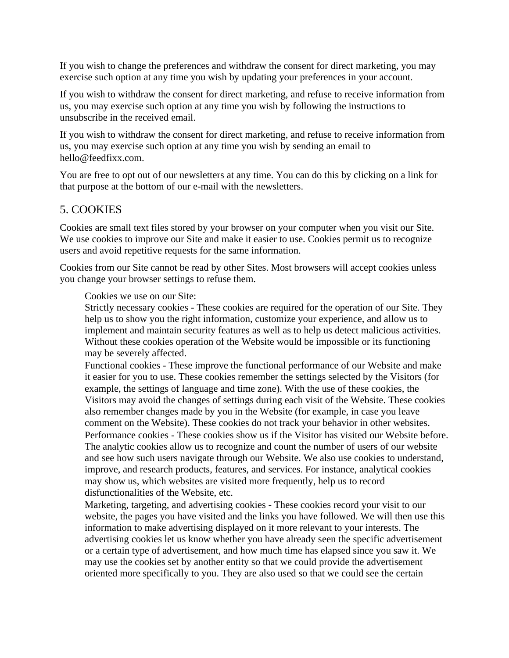If you wish to change the preferences and withdraw the consent for direct marketing, you may exercise such option at any time you wish by updating your preferences in your account.

If you wish to withdraw the consent for direct marketing, and refuse to receive information from us, you may exercise such option at any time you wish by following the instructions to unsubscribe in the received email.

If you wish to withdraw the consent for direct marketing, and refuse to receive information from us, you may exercise such option at any time you wish by sending an email to hello@feedfixx.com.

You are free to opt out of our newsletters at any time. You can do this by clicking on a link for that purpose at the bottom of our e-mail with the newsletters.

### 5. COOKIES

Cookies are small text files stored by your browser on your computer when you visit our Site. We use cookies to improve our Site and make it easier to use. Cookies permit us to recognize users and avoid repetitive requests for the same information.

Cookies from our Site cannot be read by other Sites. Most browsers will accept cookies unless you change your browser settings to refuse them.

Cookies we use on our Site:

Strictly necessary cookies - These cookies are required for the operation of our Site. They help us to show you the right information, customize your experience, and allow us to implement and maintain security features as well as to help us detect malicious activities. Without these cookies operation of the Website would be impossible or its functioning may be severely affected.

Functional cookies - These improve the functional performance of our Website and make it easier for you to use. These cookies remember the settings selected by the Visitors (for example, the settings of language and time zone). With the use of these cookies, the Visitors may avoid the changes of settings during each visit of the Website. These cookies also remember changes made by you in the Website (for example, in case you leave comment on the Website). These cookies do not track your behavior in other websites. Performance cookies - These cookies show us if the Visitor has visited our Website before. The analytic cookies allow us to recognize and count the number of users of our website and see how such users navigate through our Website. We also use cookies to understand, improve, and research products, features, and services. For instance, analytical cookies may show us, which websites are visited more frequently, help us to record disfunctionalities of the Website, etc.

Marketing, targeting, and advertising cookies - These cookies record your visit to our website, the pages you have visited and the links you have followed. We will then use this information to make advertising displayed on it more relevant to your interests. The advertising cookies let us know whether you have already seen the specific advertisement or a certain type of advertisement, and how much time has elapsed since you saw it. We may use the cookies set by another entity so that we could provide the advertisement oriented more specifically to you. They are also used so that we could see the certain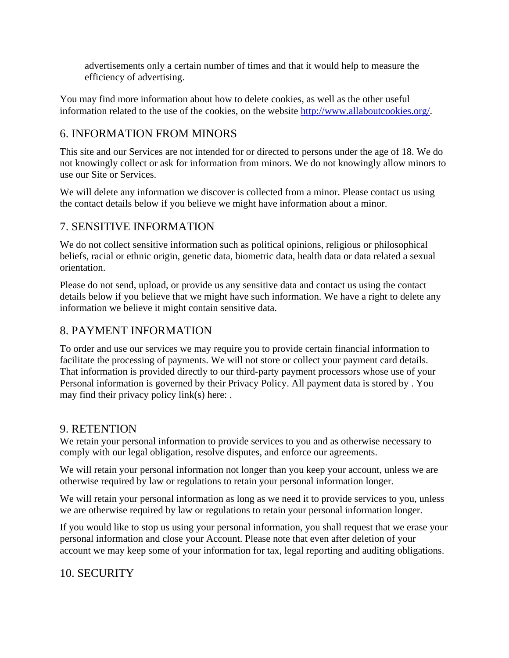advertisements only a certain number of times and that it would help to measure the efficiency of advertising.

You may find more information about how to delete cookies, as well as the other useful information related to the use of the cookies, on the website http://www.allaboutcookies.org/.

## 6. INFORMATION FROM MINORS

This site and our Services are not intended for or directed to persons under the age of 18. We do not knowingly collect or ask for information from minors. We do not knowingly allow minors to use our Site or Services.

We will delete any information we discover is collected from a minor. Please contact us using the contact details below if you believe we might have information about a minor.

### 7. SENSITIVE INFORMATION

We do not collect sensitive information such as political opinions, religious or philosophical beliefs, racial or ethnic origin, genetic data, biometric data, health data or data related a sexual orientation.

Please do not send, upload, or provide us any sensitive data and contact us using the contact details below if you believe that we might have such information. We have a right to delete any information we believe it might contain sensitive data.

### 8. PAYMENT INFORMATION

To order and use our services we may require you to provide certain financial information to facilitate the processing of payments. We will not store or collect your payment card details. That information is provided directly to our third-party payment processors whose use of your Personal information is governed by their Privacy Policy. All payment data is stored by . You may find their privacy policy link(s) here: .

#### 9. RETENTION

We retain your personal information to provide services to you and as otherwise necessary to comply with our legal obligation, resolve disputes, and enforce our agreements.

We will retain your personal information not longer than you keep your account, unless we are otherwise required by law or regulations to retain your personal information longer.

We will retain your personal information as long as we need it to provide services to you, unless we are otherwise required by law or regulations to retain your personal information longer.

If you would like to stop us using your personal information, you shall request that we erase your personal information and close your Account. Please note that even after deletion of your account we may keep some of your information for tax, legal reporting and auditing obligations.

### 10. SECURITY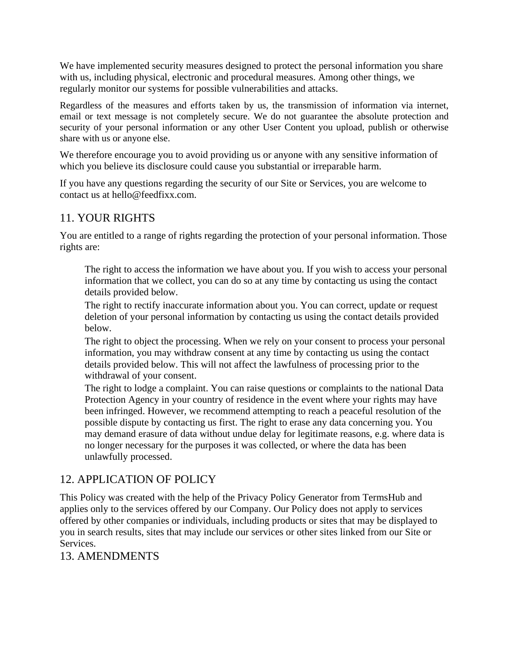We have implemented security measures designed to protect the personal information you share with us, including physical, electronic and procedural measures. Among other things, we regularly monitor our systems for possible vulnerabilities and attacks.

Regardless of the measures and efforts taken by us, the transmission of information via internet, email or text message is not completely secure. We do not guarantee the absolute protection and security of your personal information or any other User Content you upload, publish or otherwise share with us or anyone else.

We therefore encourage you to avoid providing us or anyone with any sensitive information of which you believe its disclosure could cause you substantial or irreparable harm.

If you have any questions regarding the security of our Site or Services, you are welcome to contact us at hello@feedfixx.com.

### 11. YOUR RIGHTS

You are entitled to a range of rights regarding the protection of your personal information. Those rights are:

The right to access the information we have about you. If you wish to access your personal information that we collect, you can do so at any time by contacting us using the contact details provided below.

The right to rectify inaccurate information about you. You can correct, update or request deletion of your personal information by contacting us using the contact details provided below.

The right to object the processing. When we rely on your consent to process your personal information, you may withdraw consent at any time by contacting us using the contact details provided below. This will not affect the lawfulness of processing prior to the withdrawal of your consent.

The right to lodge a complaint. You can raise questions or complaints to the national Data Protection Agency in your country of residence in the event where your rights may have been infringed. However, we recommend attempting to reach a peaceful resolution of the possible dispute by contacting us first. The right to erase any data concerning you. You may demand erasure of data without undue delay for legitimate reasons, e.g. where data is no longer necessary for the purposes it was collected, or where the data has been unlawfully processed.

### 12. APPLICATION OF POLICY

This Policy was created with the help of the Privacy Policy Generator from TermsHub and applies only to the services offered by our Company. Our Policy does not apply to services offered by other companies or individuals, including products or sites that may be displayed to you in search results, sites that may include our services or other sites linked from our Site or Services.

### 13. AMENDMENTS